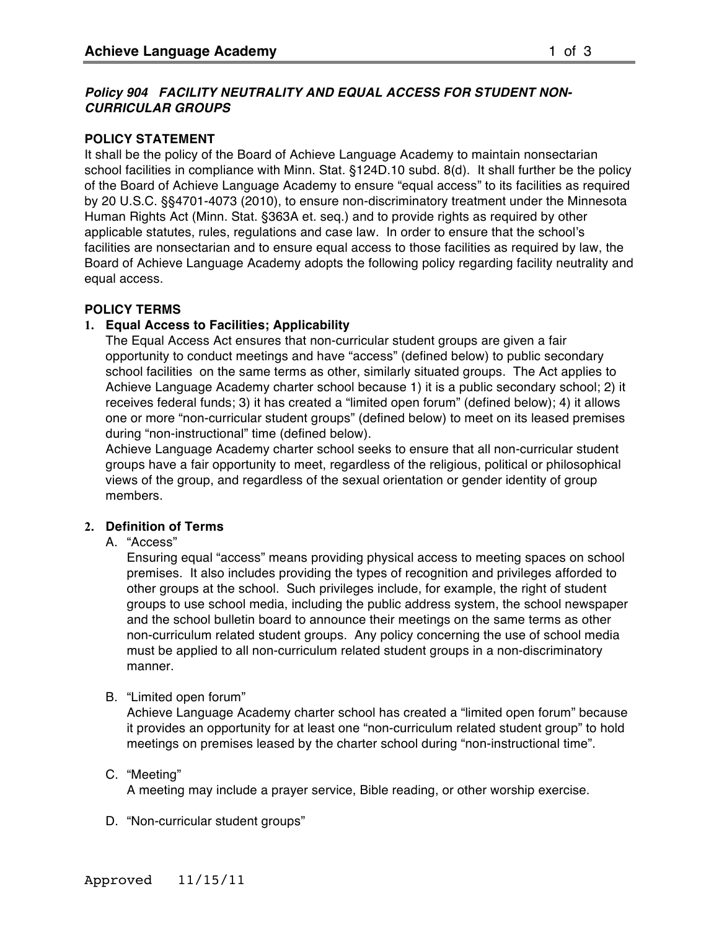# *Policy 904 FACILITY NEUTRALITY AND EQUAL ACCESS FOR STUDENT NON-CURRICULAR GROUPS*

## **POLICY STATEMENT**

It shall be the policy of the Board of Achieve Language Academy to maintain nonsectarian school facilities in compliance with Minn. Stat. §124D.10 subd. 8(d). It shall further be the policy of the Board of Achieve Language Academy to ensure "equal access" to its facilities as required by 20 U.S.C. §§4701-4073 (2010), to ensure non-discriminatory treatment under the Minnesota Human Rights Act (Minn. Stat. §363A et. seq.) and to provide rights as required by other applicable statutes, rules, regulations and case law. In order to ensure that the school's facilities are nonsectarian and to ensure equal access to those facilities as required by law, the Board of Achieve Language Academy adopts the following policy regarding facility neutrality and equal access.

### **POLICY TERMS**

## **1. Equal Access to Facilities; Applicability**

The Equal Access Act ensures that non-curricular student groups are given a fair opportunity to conduct meetings and have "access" (defined below) to public secondary school facilities on the same terms as other, similarly situated groups. The Act applies to Achieve Language Academy charter school because 1) it is a public secondary school; 2) it receives federal funds; 3) it has created a "limited open forum" (defined below); 4) it allows one or more "non-curricular student groups" (defined below) to meet on its leased premises during "non-instructional" time (defined below).

Achieve Language Academy charter school seeks to ensure that all non-curricular student groups have a fair opportunity to meet, regardless of the religious, political or philosophical views of the group, and regardless of the sexual orientation or gender identity of group members.

# **2. Definition of Terms**

A. "Access"

Ensuring equal "access" means providing physical access to meeting spaces on school premises. It also includes providing the types of recognition and privileges afforded to other groups at the school. Such privileges include, for example, the right of student groups to use school media, including the public address system, the school newspaper and the school bulletin board to announce their meetings on the same terms as other non-curriculum related student groups. Any policy concerning the use of school media must be applied to all non-curriculum related student groups in a non-discriminatory manner.

## B. "Limited open forum"

Achieve Language Academy charter school has created a "limited open forum" because it provides an opportunity for at least one "non-curriculum related student group" to hold meetings on premises leased by the charter school during "non-instructional time".

# C. "Meeting"

A meeting may include a prayer service, Bible reading, or other worship exercise.

D. "Non-curricular student groups"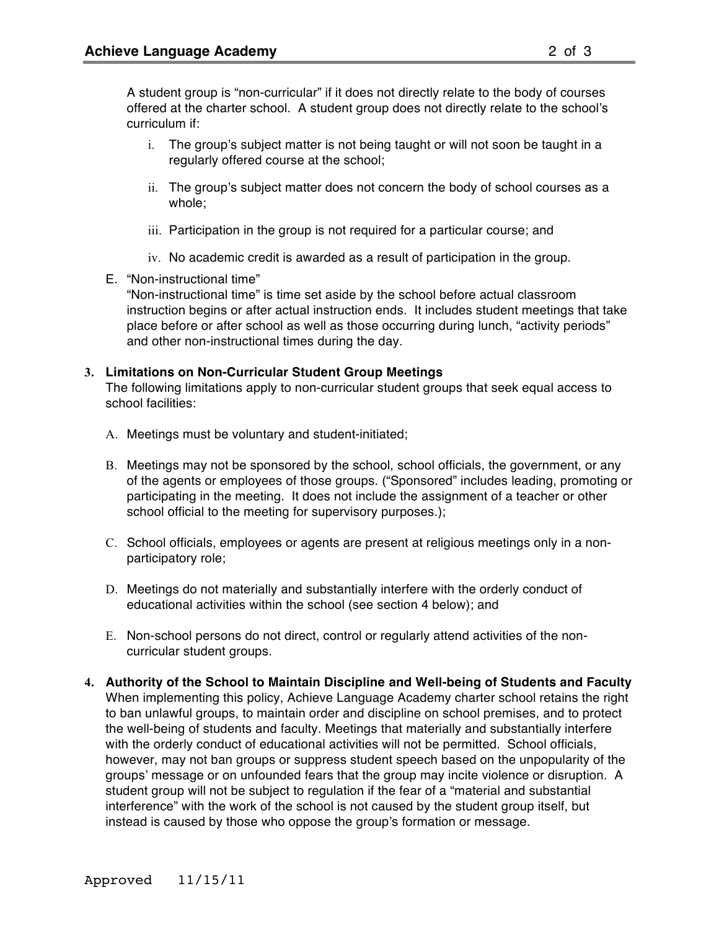A student group is "non-curricular" if it does not directly relate to the body of courses offered at the charter school. A student group does not directly relate to the school's curriculum if:

- i. The group's subject matter is not being taught or will not soon be taught in a regularly offered course at the school;
- ii. The group's subject matter does not concern the body of school courses as a whole;
- iii. Participation in the group is not required for a particular course; and
- iv. No academic credit is awarded as a result of participation in the group.
- E. "Non-instructional time"

"Non-instructional time" is time set aside by the school before actual classroom instruction begins or after actual instruction ends. It includes student meetings that take place before or after school as well as those occurring during lunch, "activity periods" and other non-instructional times during the day.

### **3. Limitations on Non-Curricular Student Group Meetings**

The following limitations apply to non-curricular student groups that seek equal access to school facilities:

- A. Meetings must be voluntary and student-initiated;
- B. Meetings may not be sponsored by the school, school officials, the government, or any of the agents or employees of those groups. ("Sponsored" includes leading, promoting or participating in the meeting. It does not include the assignment of a teacher or other school official to the meeting for supervisory purposes.):
- C. School officials, employees or agents are present at religious meetings only in a nonparticipatory role;
- D. Meetings do not materially and substantially interfere with the orderly conduct of educational activities within the school (see section 4 below); and
- E. Non-school persons do not direct, control or regularly attend activities of the noncurricular student groups.
- **4. Authority of the School to Maintain Discipline and Well-being of Students and Faculty** When implementing this policy, Achieve Language Academy charter school retains the right to ban unlawful groups, to maintain order and discipline on school premises, and to protect the well-being of students and faculty. Meetings that materially and substantially interfere with the orderly conduct of educational activities will not be permitted. School officials, however, may not ban groups or suppress student speech based on the unpopularity of the groups' message or on unfounded fears that the group may incite violence or disruption. A student group will not be subject to regulation if the fear of a "material and substantial interference" with the work of the school is not caused by the student group itself, but instead is caused by those who oppose the group's formation or message.